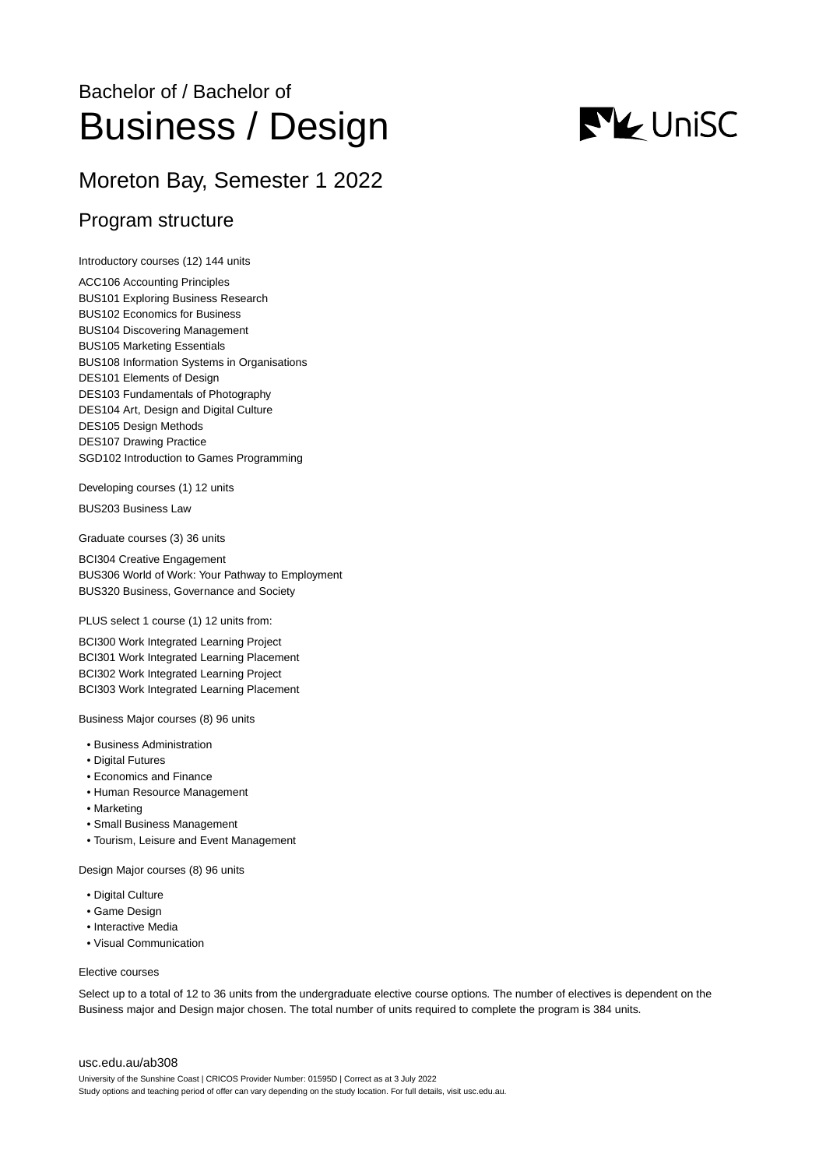# Bachelor of / Bachelor of Business / Design

## Moreton Bay, Semester 1 2022

## Program structure

Introductory courses (12) 144 units

ACC106 Accounting Principles BUS101 Exploring Business Research BUS102 Economics for Business BUS104 Discovering Management BUS105 Marketing Essentials BUS108 Information Systems in Organisations DES101 Elements of Design DES103 Fundamentals of Photography DES104 Art, Design and Digital Culture DES105 Design Methods DES107 Drawing Practice SGD102 Introduction to Games Programming

Developing courses (1) 12 units

BUS203 Business Law

Graduate courses (3) 36 units

BCI304 Creative Engagement BUS306 World of Work: Your Pathway to Employment BUS320 Business, Governance and Society

PLUS select 1 course (1) 12 units from:

BCI300 Work Integrated Learning Project BCI301 Work Integrated Learning Placement BCI302 Work Integrated Learning Project BCI303 Work Integrated Learning Placement

Business Major courses (8) 96 units

- Business Administration
- Digital Futures
- Economics and Finance
- Human Resource Management
- Marketing
- Small Business Management
- Tourism, Leisure and Event Management

Design Major courses (8) 96 units

- Digital Culture
- Game Design
- Interactive Media
- Visual Communication

#### Elective courses

Select up to a total of 12 to 36 units from the undergraduate elective course options. The number of electives is dependent on the Business major and Design major chosen. The total number of units required to complete the program is 384 units.

#### [usc.edu.au/ab308](https://www.usc.edu.au/ab308)

University of the Sunshine Coast | CRICOS Provider Number: 01595D | Correct as at 3 July 2022 Study options and teaching period of offer can vary depending on the study location. For full details, visit usc.edu.au.

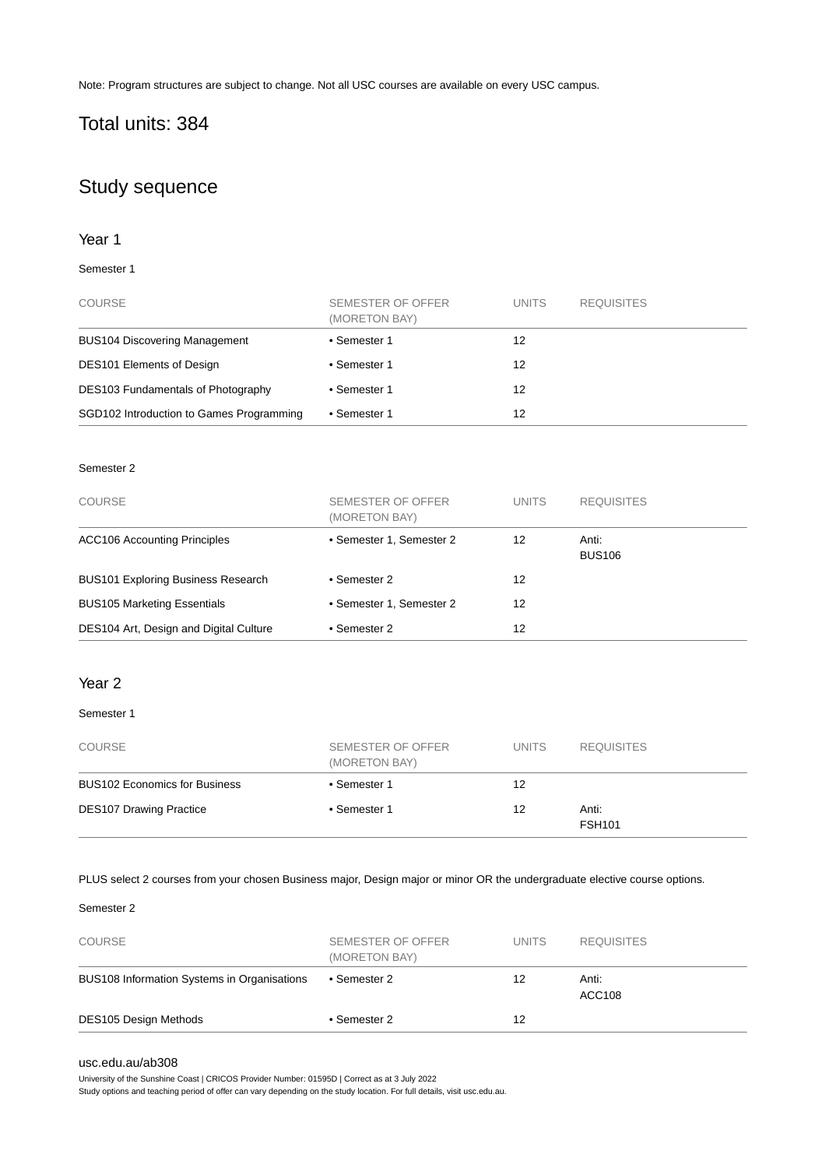Note: Program structures are subject to change. Not all USC courses are available on every USC campus.

## Total units: 384

## Study sequence

#### Year 1

#### Semester 1

| <b>COURSE</b>                            | SEMESTER OF OFFER<br>(MORETON BAY) | <b>UNITS</b> | <b>REQUISITES</b> |
|------------------------------------------|------------------------------------|--------------|-------------------|
| <b>BUS104 Discovering Management</b>     | • Semester 1                       | 12           |                   |
| <b>DES101 Elements of Design</b>         | • Semester 1                       | 12           |                   |
| DES103 Fundamentals of Photography       | • Semester 1                       | 12           |                   |
| SGD102 Introduction to Games Programming | • Semester 1                       | 12           |                   |

#### Semester 2

| <b>COURSE</b>                             | SEMESTER OF OFFER<br>(MORETON BAY) | <b>UNITS</b> | <b>REQUISITES</b>      |
|-------------------------------------------|------------------------------------|--------------|------------------------|
| <b>ACC106 Accounting Principles</b>       | • Semester 1, Semester 2           | 12           | Anti:<br><b>BUS106</b> |
| <b>BUS101 Exploring Business Research</b> | • Semester 2                       | 12           |                        |
| <b>BUS105 Marketing Essentials</b>        | • Semester 1, Semester 2           | 12           |                        |
| DES104 Art, Design and Digital Culture    | • Semester 2                       | 12           |                        |

#### Year 2

#### Semester 1

| <b>COURSE</b>                        | SEMESTER OF OFFER<br>(MORETON BAY) | <b>UNITS</b> | <b>REQUISITES</b>      |
|--------------------------------------|------------------------------------|--------------|------------------------|
| <b>BUS102 Economics for Business</b> | • Semester 1                       | 12           |                        |
| <b>DES107 Drawing Practice</b>       | • Semester 1                       | 12           | Anti:<br><b>FSH101</b> |

#### PLUS select 2 courses from your chosen Business major, Design major or minor OR the undergraduate elective course options.

#### Semester 2

| <b>DES105 Design Methods</b>                | • Semester 2                       | 12           |                        |
|---------------------------------------------|------------------------------------|--------------|------------------------|
| BUS108 Information Systems in Organisations | • Semester 2                       | 12           | Anti:<br><b>ACC108</b> |
| <b>COURSE</b>                               | SEMESTER OF OFFER<br>(MORETON BAY) | <b>UNITS</b> | <b>REQUISITES</b>      |

#### [usc.edu.au/ab308](https://www.usc.edu.au/ab308)

University of the Sunshine Coast | CRICOS Provider Number: 01595D | Correct as at 3 July 2022

Study options and teaching period of offer can vary depending on the study location. For full details, visit usc.edu.au.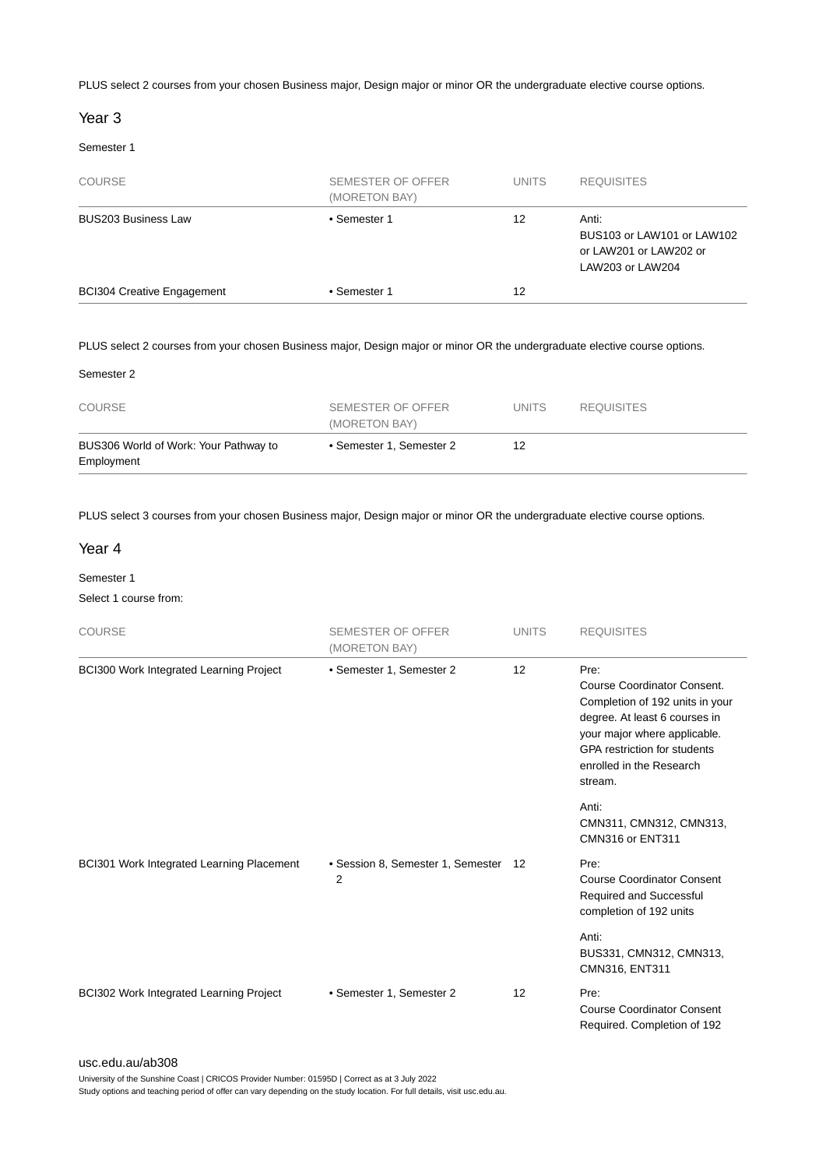PLUS select 2 courses from your chosen Business major, Design major or minor OR the undergraduate elective course options.

#### Year 3

#### Semester 1

| BUS103 or LAW101 or LAW102 |
|----------------------------|
|                            |
| or LAW201 or LAW202 or     |

#### PLUS select 2 courses from your chosen Business major, Design major or minor OR the undergraduate elective course options.

#### Semester 2

| <b>COURSE</b>                                       | SEMESTER OF OFFER<br>(MORETON BAY) | UNITS. | <b>REQUISITES</b> |  |
|-----------------------------------------------------|------------------------------------|--------|-------------------|--|
| BUS306 World of Work: Your Pathway to<br>Employment | • Semester 1, Semester 2           | 12     |                   |  |

PLUS select 3 courses from your chosen Business major, Design major or minor OR the undergraduate elective course options.

#### Year 4

#### Semester 1

Select 1 course from:

| <b>COURSE</b>                             | <b>SEMESTER OF OFFER</b><br>(MORETON BAY) | <b>UNITS</b> | <b>REQUISITES</b>                                                                                                                                                                                                     |
|-------------------------------------------|-------------------------------------------|--------------|-----------------------------------------------------------------------------------------------------------------------------------------------------------------------------------------------------------------------|
| BCI300 Work Integrated Learning Project   | • Semester 1, Semester 2                  | 12           | Pre:<br>Course Coordinator Consent.<br>Completion of 192 units in your<br>degree. At least 6 courses in<br>your major where applicable.<br><b>GPA</b> restriction for students<br>enrolled in the Research<br>stream. |
|                                           |                                           |              | Anti:<br>CMN311, CMN312, CMN313,<br>CMN316 or ENT311                                                                                                                                                                  |
| BCI301 Work Integrated Learning Placement | • Session 8, Semester 1, Semester<br>2    | -12          | Pre:<br><b>Course Coordinator Consent</b><br>Required and Successful<br>completion of 192 units                                                                                                                       |
|                                           |                                           |              | Anti:<br>BUS331, CMN312, CMN313,<br>CMN316, ENT311                                                                                                                                                                    |
| BCI302 Work Integrated Learning Project   | • Semester 1, Semester 2                  | 12           | Pre:<br><b>Course Coordinator Consent</b><br>Required. Completion of 192                                                                                                                                              |

[usc.edu.au/ab308](https://www.usc.edu.au/ab308)

University of the Sunshine Coast | CRICOS Provider Number: 01595D | Correct as at 3 July 2022

Study options and teaching period of offer can vary depending on the study location. For full details, visit usc.edu.au.